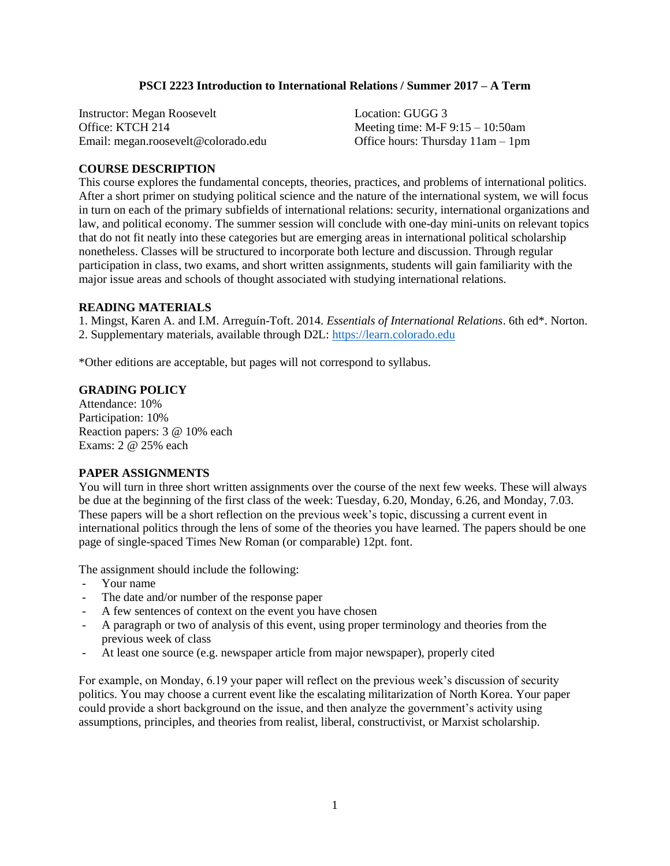## **PSCI 2223 Introduction to International Relations / Summer 2017 – A Term**

| <b>Instructor: Megan Roosevelt</b>  | Location: GUGG 3                       |
|-------------------------------------|----------------------------------------|
| Office: KTCH 214                    | Meeting time: $M-F 9:15 - 10:50$ am    |
| Email: megan.roosevelt@colorado.edu | Office hours: Thursday $11$ am $-1$ pm |

## **COURSE DESCRIPTION**

This course explores the fundamental concepts, theories, practices, and problems of international politics. After a short primer on studying political science and the nature of the international system, we will focus in turn on each of the primary subfields of international relations: security, international organizations and law, and political economy. The summer session will conclude with one-day mini-units on relevant topics that do not fit neatly into these categories but are emerging areas in international political scholarship nonetheless. Classes will be structured to incorporate both lecture and discussion. Through regular participation in class, two exams, and short written assignments, students will gain familiarity with the major issue areas and schools of thought associated with studying international relations.

#### **READING MATERIALS**

1. Mingst, Karen A. and I.M. Arreguín-Toft. 2014. *Essentials of International Relations*. 6th ed\*. Norton. 2. Supplementary materials, available through D2L: [https://learn.colorado.edu](https://learn.colorado.edu/)

\*Other editions are acceptable, but pages will not correspond to syllabus.

#### **GRADING POLICY**

Attendance: 10% Participation: 10% Reaction papers: 3 @ 10% each Exams: 2 @ 25% each

#### **PAPER ASSIGNMENTS**

You will turn in three short written assignments over the course of the next few weeks. These will always be due at the beginning of the first class of the week: Tuesday, 6.20, Monday, 6.26, and Monday, 7.03. These papers will be a short reflection on the previous week's topic, discussing a current event in international politics through the lens of some of the theories you have learned. The papers should be one page of single-spaced Times New Roman (or comparable) 12pt. font.

The assignment should include the following:

- Your name
- The date and/or number of the response paper
- A few sentences of context on the event you have chosen
- A paragraph or two of analysis of this event, using proper terminology and theories from the previous week of class
- At least one source (e.g. newspaper article from major newspaper), properly cited

For example, on Monday, 6.19 your paper will reflect on the previous week's discussion of security politics. You may choose a current event like the escalating militarization of North Korea. Your paper could provide a short background on the issue, and then analyze the government's activity using assumptions, principles, and theories from realist, liberal, constructivist, or Marxist scholarship.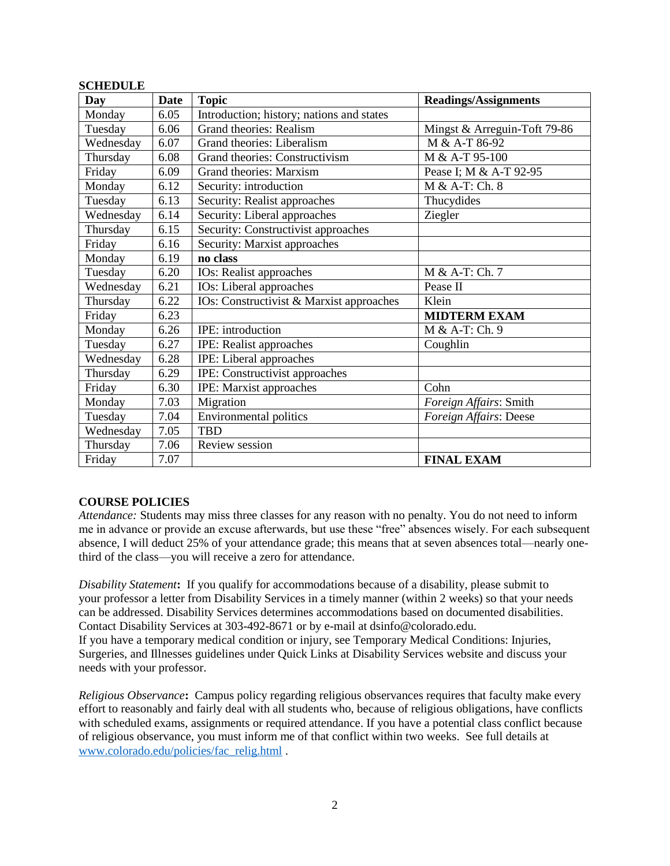| Day       | Date | <b>Topic</b>                              | <b>Readings/Assignments</b>  |
|-----------|------|-------------------------------------------|------------------------------|
| Monday    | 6.05 | Introduction; history; nations and states |                              |
| Tuesday   | 6.06 | <b>Grand theories: Realism</b>            | Mingst & Arreguin-Toft 79-86 |
| Wednesday | 6.07 | Grand theories: Liberalism                | M & A-T 86-92                |
| Thursday  | 6.08 | Grand theories: Constructivism            | M & A-T 95-100               |
| Friday    | 6.09 | Grand theories: Marxism                   | Pease I; M & A-T 92-95       |
| Monday    | 6.12 | Security: introduction                    | M & A-T: Ch. 8               |
| Tuesday   | 6.13 | Security: Realist approaches              | Thucydides                   |
| Wednesday | 6.14 | Security: Liberal approaches              | Ziegler                      |
| Thursday  | 6.15 | Security: Constructivist approaches       |                              |
| Friday    | 6.16 | Security: Marxist approaches              |                              |
| Monday    | 6.19 | no class                                  |                              |
| Tuesday   | 6.20 | IOs: Realist approaches                   | M & A-T: Ch. 7               |
| Wednesday | 6.21 | <b>IOs:</b> Liberal approaches            | Pease II                     |
| Thursday  | 6.22 | IOs: Constructivist & Marxist approaches  | Klein                        |
| Friday    | 6.23 |                                           | <b>MIDTERM EXAM</b>          |
| Monday    | 6.26 | IPE: introduction                         | M & A-T: Ch. 9               |
| Tuesday   | 6.27 | IPE: Realist approaches                   | Coughlin                     |
| Wednesday | 6.28 | IPE: Liberal approaches                   |                              |
| Thursday  | 6.29 | IPE: Constructivist approaches            |                              |
| Friday    | 6.30 | IPE: Marxist approaches                   | Cohn                         |
| Monday    | 7.03 | Migration                                 | Foreign Affairs: Smith       |
| Tuesday   | 7.04 | <b>Environmental politics</b>             | Foreign Affairs: Deese       |
| Wednesday | 7.05 | <b>TBD</b>                                |                              |
| Thursday  | 7.06 | Review session                            |                              |
| Friday    | 7.07 |                                           | <b>FINAL EXAM</b>            |

# **SCHEDULE**

# **COURSE POLICIES**

*Attendance:* Students may miss three classes for any reason with no penalty. You do not need to inform me in advance or provide an excuse afterwards, but use these "free" absences wisely. For each subsequent absence, I will deduct 25% of your attendance grade; this means that at seven absences total—nearly onethird of the class—you will receive a zero for attendance.

*Disability Statement***:** If you qualify for accommodations because of a disability, please submit to your professor a letter from Disability Services in a timely manner (within 2 weeks) so that your needs can be addressed. Disability Services determines accommodations based on documented disabilities. Contact Disability Services at 303-492-8671 or by e-mail at dsinfo@colorado.edu. If you have a temporary medical condition or injury, see Temporary Medical Conditions: Injuries, Surgeries, and Illnesses guidelines under Quick Links at Disability Services website and discuss your needs with your professor.

*Religious Observance***:** Campus policy regarding religious observances requires that faculty make every effort to reasonably and fairly deal with all students who, because of religious obligations, have conflicts with scheduled exams, assignments or required attendance. If you have a potential class conflict because of religious observance, you must inform me of that conflict within two weeks. See full details at [www.colorado.edu/policies/fac\\_relig.html](http://www.colorado.edu/policies/fac_relig.html) .